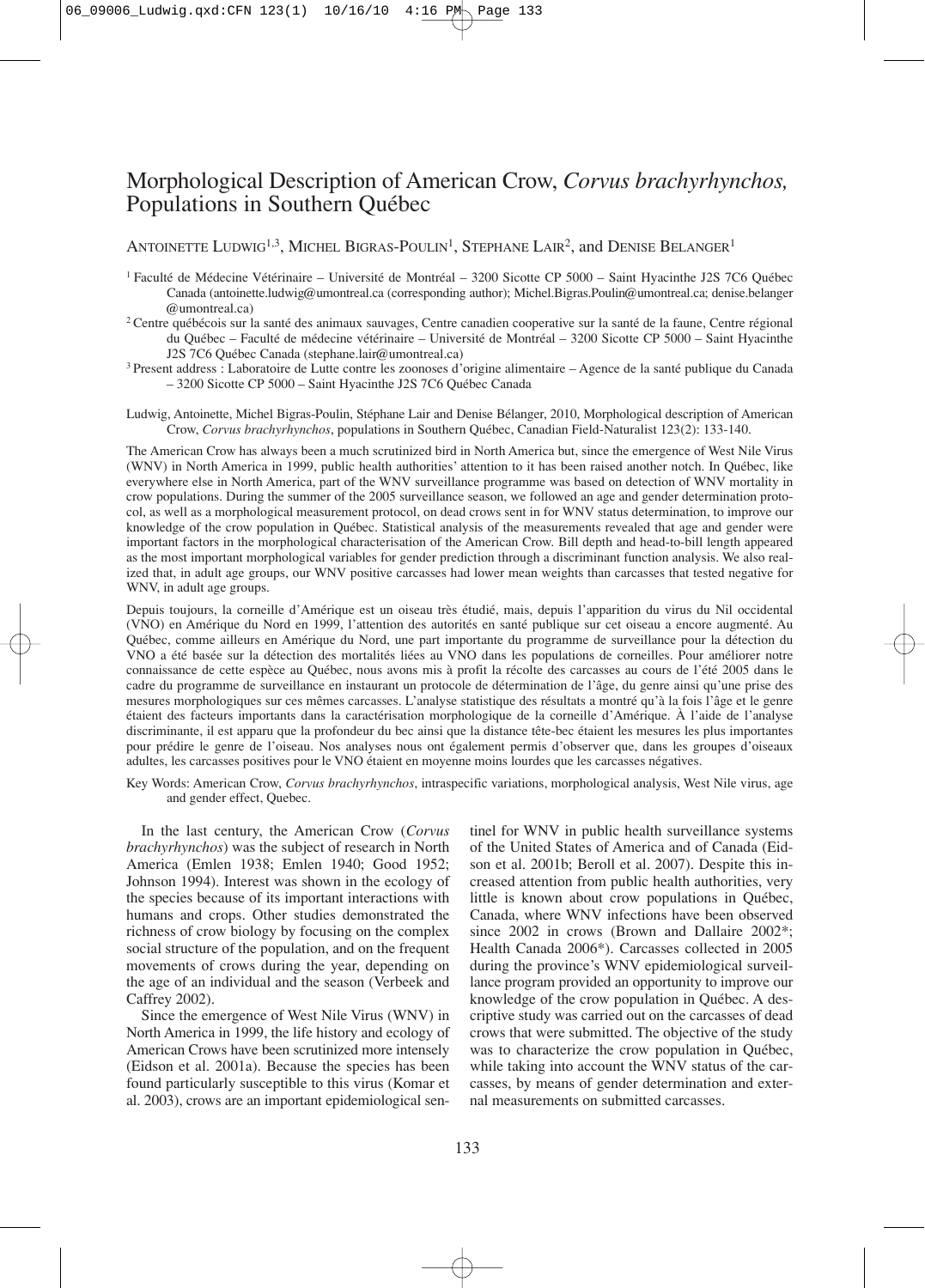# Morphological Description of American Crow, *Corvus brachyrhynchos,* Populations in Southern Québec

ANTOINETTE LUDWIG<sup>1,3</sup>, MICHEL BIGRAS-POULIN<sup>1</sup>, STEPHANE LAIR<sup>2</sup>, and DENISE BELANGER<sup>1</sup>

- <sup>1</sup> Faculté de Médecine Vétérinaire Université de Montréal 3200 Sicotte CP 5000 Saint Hyacinthe J2S 7C6 Québec Canada (antoinette.ludwig@umontreal.ca (corresponding author); Michel.Bigras.Poulin@umontreal.ca; denise.belanger @umontreal.ca)
- <sup>2</sup> Centre québécois sur la santé des animaux sauvages, Centre canadien cooperative sur la santé de la faune, Centre régional du Québec – Faculté de médecine vétérinaire – Université de Montréal – 3200 Sicotte CP 5000 – Saint Hyacinthe J2S 7C6 Québec Canada (stephane.lair@umontreal.ca)
- <sup>3</sup> Present address : Laboratoire de Lutte contre les zoonoses d'origine alimentaire Agence de la santé publique du Canada – 3200 Sicotte CP 5000 – Saint Hyacinthe J2S 7C6 Québec Canada

Ludwig, Antoinette, Michel Bigras-Poulin, Stéphane Lair and Denise Bélanger, 2010, Morphological description of American Crow, *Corvus brachyrhynchos*, populations in Southern Québec, Canadian Field-Naturalist 123(2): 133-140.

The American Crow has always been a much scrutinized bird in North America but, since the emergence of West Nile Virus (WNV) in North America in 1999, public health authorities' attention to it has been raised another notch. In Québec, like everywhere else in North America, part of the WNV surveillance programme was based on detection of WNV mortality in crow populations. During the summer of the 2005 surveillance season, we followed an age and gender determination protocol, as well as a morphological measurement protocol, on dead crows sent in for WNV status determination, to improve our knowledge of the crow population in Québec. Statistical analysis of the measurements revealed that age and gender were important factors in the morphological characterisation of the American Crow. Bill depth and head-to-bill length appeared as the most important morphological variables for gender prediction through a discriminant function analysis. We also realized that, in adult age groups, our WNV positive carcasses had lower mean weights than carcasses that tested negative for WNV, in adult age groups.

Depuis toujours, la corneille d'Amérique est un oiseau très étudié, mais, depuis l'apparition du virus du Nil occidental (VNO) en Amérique du Nord en 1999, l'attention des autorités en santé publique sur cet oiseau a encore augmenté. Au Québec, comme ailleurs en Amérique du Nord, une part importante du programme de surveillance pour la détection du VNO a été basée sur la détection des mortalités liées au VNO dans les populations de corneilles. Pour améliorer notre connaissance de cette espèce au Québec, nous avons mis à profit la récolte des carcasses au cours de l'été 2005 dans le cadre du programme de surveillance en instaurant un protocole de détermination de l'âge, du genre ainsi qu'une prise des mesures morphologiques sur ces mêmes carcasses. L'analyse statistique des résultats a montré qu'à la fois l'âge et le genre étaient des facteurs importants dans la caractérisation morphologique de la corneille d'Amérique. À l'aide de l'analyse discriminante, il est apparu que la profondeur du bec ainsi que la distance tête-bec étaient les mesures les plus importantes pour prédire le genre de l'oiseau. Nos analyses nous ont également permis d'observer que, dans les groupes d'oiseaux adultes, les carcasses positives pour le VNO étaient en moyenne moins lourdes que les carcasses négatives.

Key Words: American Crow, *Corvus brachyrhynchos*, intraspecific variations, morphological analysis, West Nile virus, age and gender effect, Quebec.

In the last century, the American Crow (*Corvus brachyrhynchos*) was the subject of research in North America (Emlen 1938; Emlen 1940; Good 1952; Johnson 1994). Interest was shown in the ecology of the species because of its important interactions with humans and crops. Other studies demonstrated the richness of crow biology by focusing on the complex social structure of the population, and on the frequent movements of crows during the year, depending on the age of an individual and the season (Verbeek and Caffrey 2002).

Since the emergence of West Nile Virus (WNV) in North America in 1999, the life history and ecology of American Crows have been scrutinized more intensely (Eidson et al. 2001a). Because the species has been found particularly susceptible to this virus (Komar et al. 2003), crows are an important epidemiological sen-

tinel for WNV in public health surveillance systems of the United States of America and of Canada (Eidson et al. 2001b; Beroll et al. 2007). Despite this increased attention from public health authorities, very little is known about crow populations in Québec, Canada, where WNV infections have been observed since 2002 in crows (Brown and Dallaire 2002\*; Health Canada 2006\*). Carcasses collected in 2005 during the province's WNV epidemiological surveillance program provided an opportunity to improve our knowledge of the crow population in Québec. A descriptive study was carried out on the carcasses of dead crows that were submitted. The objective of the study was to characterize the crow population in Québec, while taking into account the WNV status of the carcasses, by means of gender determination and external measurements on submitted carcasses.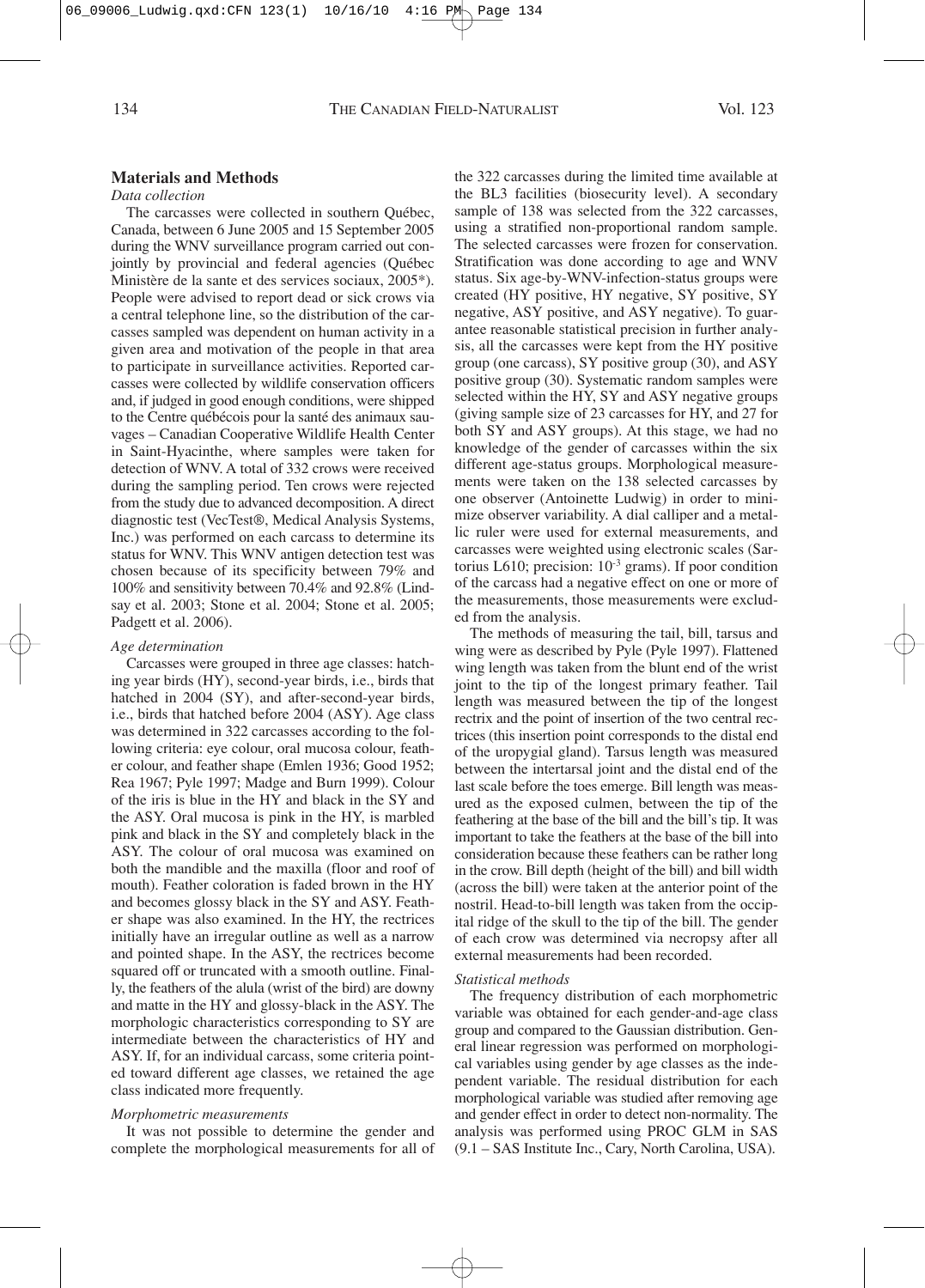# **Materials and Methods**

#### *Data collection*

The carcasses were collected in southern Québec, Canada, between 6 June 2005 and 15 September 2005 during the WNV surveillance program carried out conjointly by provincial and federal agencies (Québec Ministère de la sante et des services sociaux, 2005\*). People were advised to report dead or sick crows via a central telephone line, so the distribution of the carcasses sampled was dependent on human activity in a given area and motivation of the people in that area to participate in surveillance activities. Reported carcasses were collected by wildlife conservation officers and, if judged in good enough conditions, were shipped to the Centre québécois pour la santé des animaux sauvages – Canadian Cooperative Wildlife Health Center in Saint-Hyacinthe, where samples were taken for detection of WNV. A total of 332 crows were received during the sampling period. Ten crows were rejected from the study due to advanced decomposition. A direct diagnostic test (VecTest®, Medical Analysis Systems, Inc.) was performed on each carcass to determine its status for WNV. This WNV antigen detection test was chosen because of its specificity between 79% and 100% and sensitivity between 70.4% and 92.8% (Lindsay et al. 2003; Stone et al. 2004; Stone et al. 2005; Padgett et al. 2006).

#### *Age determination*

Carcasses were grouped in three age classes: hatching year birds (HY), second-year birds, i.e., birds that hatched in 2004 (SY), and after-second-year birds, i.e., birds that hatched before 2004 (ASY). Age class was determined in 322 carcasses according to the following criteria: eye colour, oral mucosa colour, feather colour, and feather shape (Emlen 1936; Good 1952; Rea 1967; Pyle 1997; Madge and Burn 1999). Colour of the iris is blue in the HY and black in the SY and the ASY. Oral mucosa is pink in the HY, is marbled pink and black in the SY and completely black in the ASY. The colour of oral mucosa was examined on both the mandible and the maxilla (floor and roof of mouth). Feather coloration is faded brown in the HY and becomes glossy black in the SY and ASY. Feather shape was also examined. In the HY, the rectrices initially have an irregular outline as well as a narrow and pointed shape. In the ASY, the rectrices become squared off or truncated with a smooth outline. Finally, the feathers of the alula (wrist of the bird) are downy and matte in the HY and glossy-black in the ASY. The morphologic characteristics corresponding to SY are intermediate between the characteristics of HY and ASY. If, for an individual carcass, some criteria pointed toward different age classes, we retained the age class indicated more frequently.

#### *Morphometric measurements*

It was not possible to determine the gender and complete the morphological measurements for all of the 322 carcasses during the limited time available at the BL3 facilities (biosecurity level). A secondary sample of 138 was selected from the 322 carcasses, using a stratified non-proportional random sample. The selected carcasses were frozen for conservation. Stratification was done according to age and WNV status. Six age-by-WNV-infection-status groups were created (HY positive, HY negative, SY positive, SY negative, ASY positive, and ASY negative). To guarantee reasonable statistical precision in further analysis, all the carcasses were kept from the HY positive group (one carcass), SY positive group (30), and ASY positive group (30). Systematic random samples were selected within the HY, SY and ASY negative groups (giving sample size of 23 carcasses for HY, and 27 for both SY and ASY groups). At this stage, we had no knowledge of the gender of carcasses within the six different age-status groups. Morphological measurements were taken on the 138 selected carcasses by one observer (Antoinette Ludwig) in order to minimize observer variability. A dial calliper and a metallic ruler were used for external measurements, and carcasses were weighted using electronic scales (Sartorius L610; precision:  $10^{-3}$  grams). If poor condition of the carcass had a negative effect on one or more of the measurements, those measurements were excluded from the analysis.

The methods of measuring the tail, bill, tarsus and wing were as described by Pyle (Pyle 1997). Flattened wing length was taken from the blunt end of the wrist joint to the tip of the longest primary feather. Tail length was measured between the tip of the longest rectrix and the point of insertion of the two central rectrices (this insertion point corresponds to the distal end of the uropygial gland). Tarsus length was measured between the intertarsal joint and the distal end of the last scale before the toes emerge. Bill length was measured as the exposed culmen, between the tip of the feathering at the base of the bill and the bill's tip. It was important to take the feathers at the base of the bill into consideration because these feathers can be rather long in the crow. Bill depth (height of the bill) and bill width (across the bill) were taken at the anterior point of the nostril. Head-to-bill length was taken from the occipital ridge of the skull to the tip of the bill. The gender of each crow was determined via necropsy after all external measurements had been recorded.

#### *Statistical methods*

The frequency distribution of each morphometric variable was obtained for each gender-and-age class group and compared to the Gaussian distribution. General linear regression was performed on morphological variables using gender by age classes as the independent variable. The residual distribution for each morphological variable was studied after removing age and gender effect in order to detect non-normality. The analysis was performed using PROC GLM in SAS (9.1 – SAS Institute Inc., Cary, North Carolina, USA).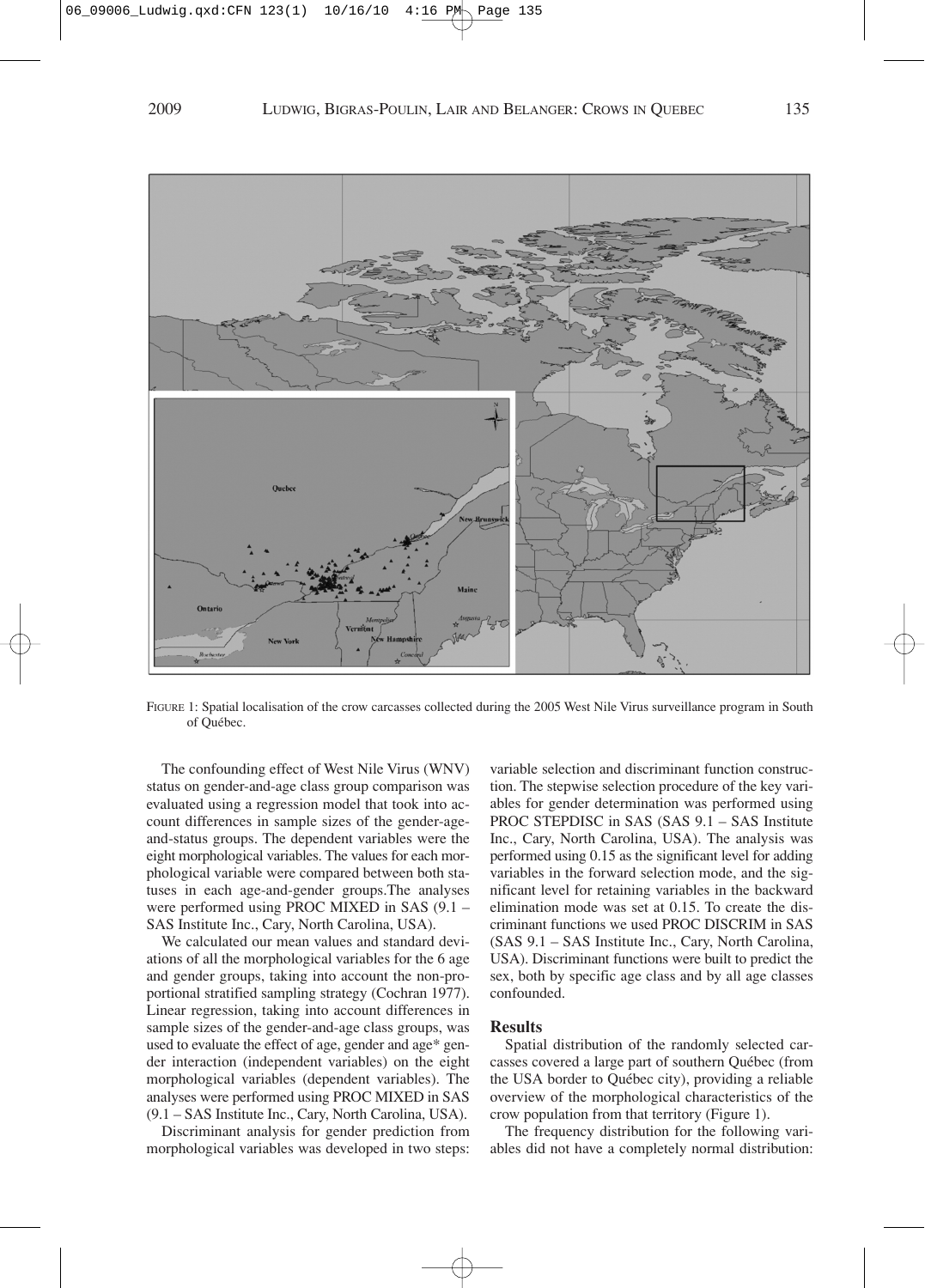

FIGURE 1: Spatial localisation of the crow carcasses collected during the 2005 West Nile Virus surveillance program in South of Québec.

The confounding effect of West Nile Virus (WNV) status on gender-and-age class group comparison was evaluated using a regression model that took into account differences in sample sizes of the gender-ageand-status groups. The dependent variables were the eight morphological variables. The values for each morphological variable were compared between both statuses in each age-and-gender groups.The analyses were performed using PROC MIXED in SAS (9.1 – SAS Institute Inc., Cary, North Carolina, USA).

We calculated our mean values and standard deviations of all the morphological variables for the 6 age and gender groups, taking into account the non-proportional stratified sampling strategy (Cochran 1977). Linear regression, taking into account differences in sample sizes of the gender-and-age class groups, was used to evaluate the effect of age, gender and age\* gender interaction (independent variables) on the eight morphological variables (dependent variables). The analyses were performed using PROC MIXED in SAS (9.1 – SAS Institute Inc., Cary, North Carolina, USA).

Discriminant analysis for gender prediction from morphological variables was developed in two steps:

variable selection and discriminant function construction. The stepwise selection procedure of the key variables for gender determination was performed using PROC STEPDISC in SAS (SAS 9.1 – SAS Institute Inc., Cary, North Carolina, USA). The analysis was performed using 0.15 as the significant level for adding variables in the forward selection mode, and the significant level for retaining variables in the backward elimination mode was set at 0.15. To create the discriminant functions we used PROC DISCRIM in SAS (SAS 9.1 – SAS Institute Inc., Cary, North Carolina, USA). Discriminant functions were built to predict the sex, both by specific age class and by all age classes confounded.

## **Results**

Spatial distribution of the randomly selected carcasses covered a large part of southern Québec (from the USA border to Québec city), providing a reliable overview of the morphological characteristics of the crow population from that territory (Figure 1).

The frequency distribution for the following variables did not have a completely normal distribution: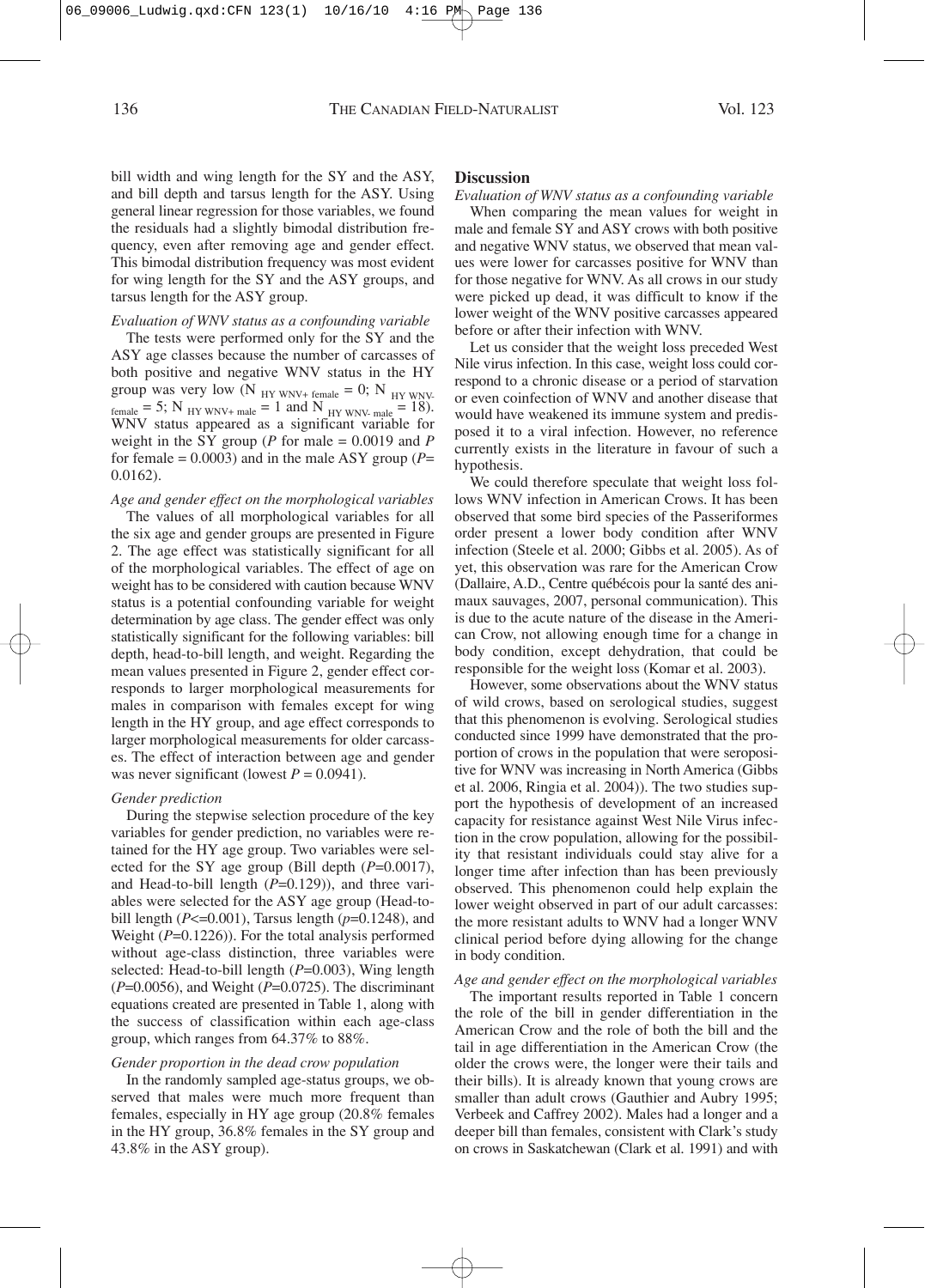bill width and wing length for the SY and the ASY, and bill depth and tarsus length for the ASY. Using general linear regression for those variables, we found the residuals had a slightly bimodal distribution frequency, even after removing age and gender effect. This bimodal distribution frequency was most evident for wing length for the SY and the ASY groups, and tarsus length for the ASY group.

## *Evaluation of WNV status as a confounding variable*

The tests were performed only for the SY and the ASY age classes because the number of carcasses of both positive and negative WNV status in the HY group was very low (N  $_{\text{HY WNV+ female}} = 0$ ; N  $_{\text{HY WNV-}}$  $f_{\text{female}} = 5$ ; N  $_{\text{HY WNV+ male}} = 1$  and N  $_{\text{HY WNV-male}} = 18$ . WNV status appeared as a significant variable for weight in the SY group (*P* for male = 0.0019 and *P* for female =  $0.0003$ ) and in the male ASY group ( $P=$ 0.0162).

## *Age and gender effect on the morphological variables* The values of all morphological variables for all the six age and gender groups are presented in Figure 2. The age effect was statistically significant for all of the morphological variables. The effect of age on weight has to be considered with caution because WNV status is a potential confounding variable for weight determination by age class. The gender effect was only statistically significant for the following variables: bill depth, head-to-bill length, and weight. Regarding the mean values presented in Figure 2, gender effect corresponds to larger morphological measurements for males in comparison with females except for wing length in the HY group, and age effect corresponds to larger morphological measurements for older carcasses. The effect of interaction between age and gender was never significant (lowest  $P = 0.0941$ ).

#### *Gender prediction*

During the stepwise selection procedure of the key variables for gender prediction, no variables were retained for the HY age group. Two variables were selected for the SY age group (Bill depth (*P*=0.0017), and Head-to-bill length (*P*=0.129)), and three variables were selected for the ASY age group (Head-tobill length (*P*<=0.001), Tarsus length (*p*=0.1248), and Weight (*P*=0.1226)). For the total analysis performed without age-class distinction, three variables were selected: Head-to-bill length (*P*=0.003), Wing length (*P*=0.0056), and Weight (*P*=0.0725). The discriminant equations created are presented in Table 1, along with the success of classification within each age-class group, which ranges from 64.37% to 88%.

#### *Gender proportion in the dead crow population*

In the randomly sampled age-status groups, we observed that males were much more frequent than females, especially in HY age group (20.8% females in the HY group, 36.8% females in the SY group and 43.8% in the ASY group).

#### **Discussion**

#### *Evaluation of WNV status as a confounding variable*

When comparing the mean values for weight in male and female SY and ASY crows with both positive and negative WNV status, we observed that mean values were lower for carcasses positive for WNV than for those negative for WNV. As all crows in our study were picked up dead, it was difficult to know if the lower weight of the WNV positive carcasses appeared before or after their infection with WNV.

Let us consider that the weight loss preceded West Nile virus infection. In this case, weight loss could correspond to a chronic disease or a period of starvation or even coinfection of WNV and another disease that would have weakened its immune system and predisposed it to a viral infection. However, no reference currently exists in the literature in favour of such a hypothesis.

We could therefore speculate that weight loss follows WNV infection in American Crows. It has been observed that some bird species of the Passeriformes order present a lower body condition after WNV infection (Steele et al. 2000; Gibbs et al. 2005). As of yet, this observation was rare for the American Crow (Dallaire, A.D., Centre québécois pour la santé des animaux sauvages, 2007, personal communication). This is due to the acute nature of the disease in the American Crow, not allowing enough time for a change in body condition, except dehydration, that could be responsible for the weight loss (Komar et al. 2003).

However, some observations about the WNV status of wild crows, based on serological studies, suggest that this phenomenon is evolving. Serological studies conducted since 1999 have demonstrated that the proportion of crows in the population that were seropositive for WNV was increasing in North America (Gibbs et al. 2006, Ringia et al. 2004)). The two studies support the hypothesis of development of an increased capacity for resistance against West Nile Virus infection in the crow population, allowing for the possibility that resistant individuals could stay alive for a longer time after infection than has been previously observed. This phenomenon could help explain the lower weight observed in part of our adult carcasses: the more resistant adults to WNV had a longer WNV clinical period before dying allowing for the change in body condition.

#### *Age and gender effect on the morphological variables*

The important results reported in Table 1 concern the role of the bill in gender differentiation in the American Crow and the role of both the bill and the tail in age differentiation in the American Crow (the older the crows were, the longer were their tails and their bills). It is already known that young crows are smaller than adult crows (Gauthier and Aubry 1995; Verbeek and Caffrey 2002). Males had a longer and a deeper bill than females, consistent with Clark's study on crows in Saskatchewan (Clark et al. 1991) and with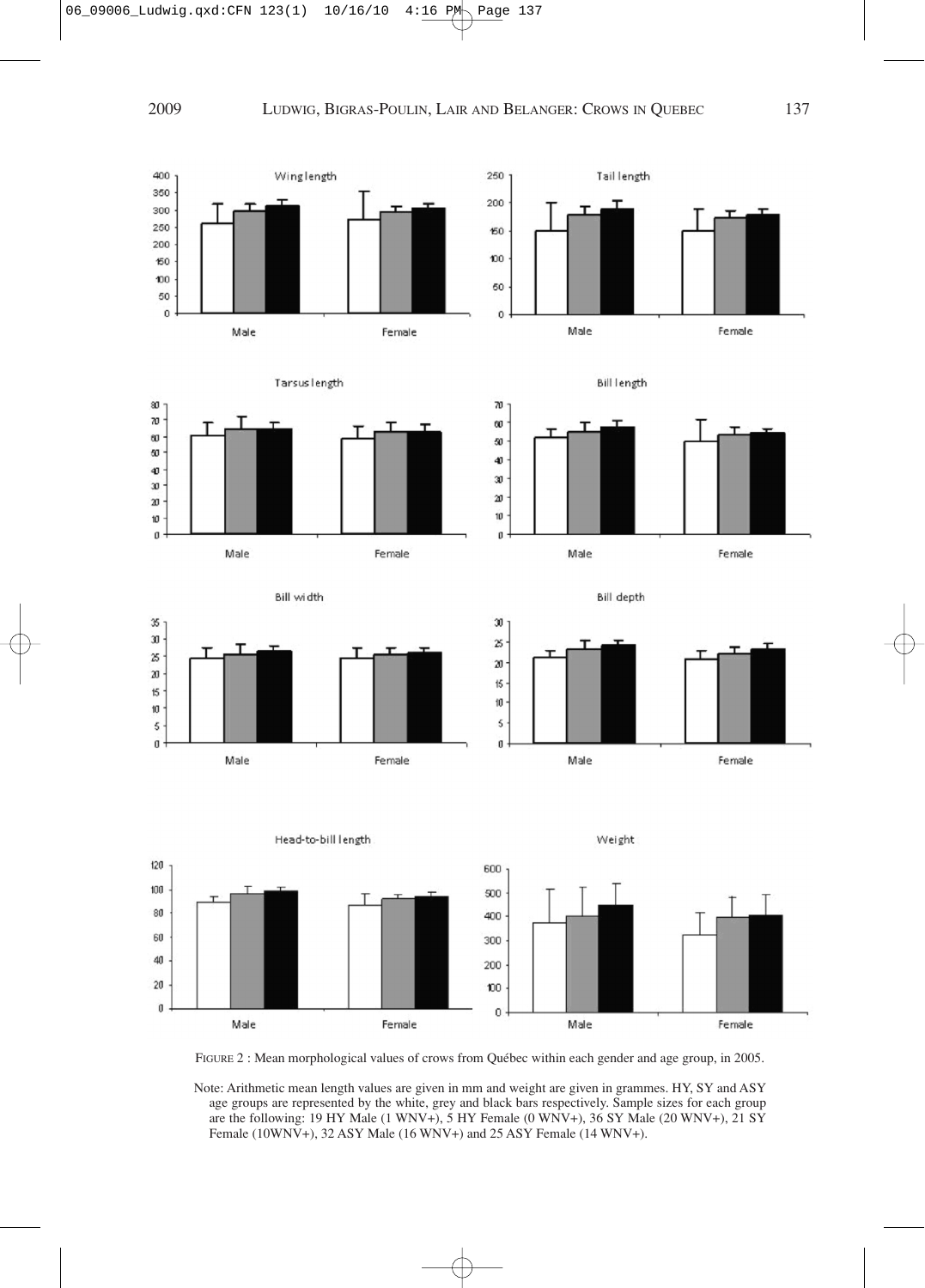

FIGURE 2 : Mean morphological values of crows from Québec within each gender and age group, in 2005.

Note: Arithmetic mean length values are given in mm and weight are given in grammes. HY, SY and ASY age groups are represented by the white, grey and black bars respectively. Sample sizes for each group are the following: 19 HY Male (1 WNV+), 5 HY Female (0 WNV+), 36 SY Male (20 WNV+), 21 SY Female (10WNV+), 32 ASY Male (16 WNV+) and 25 ASY Female (14 WNV+).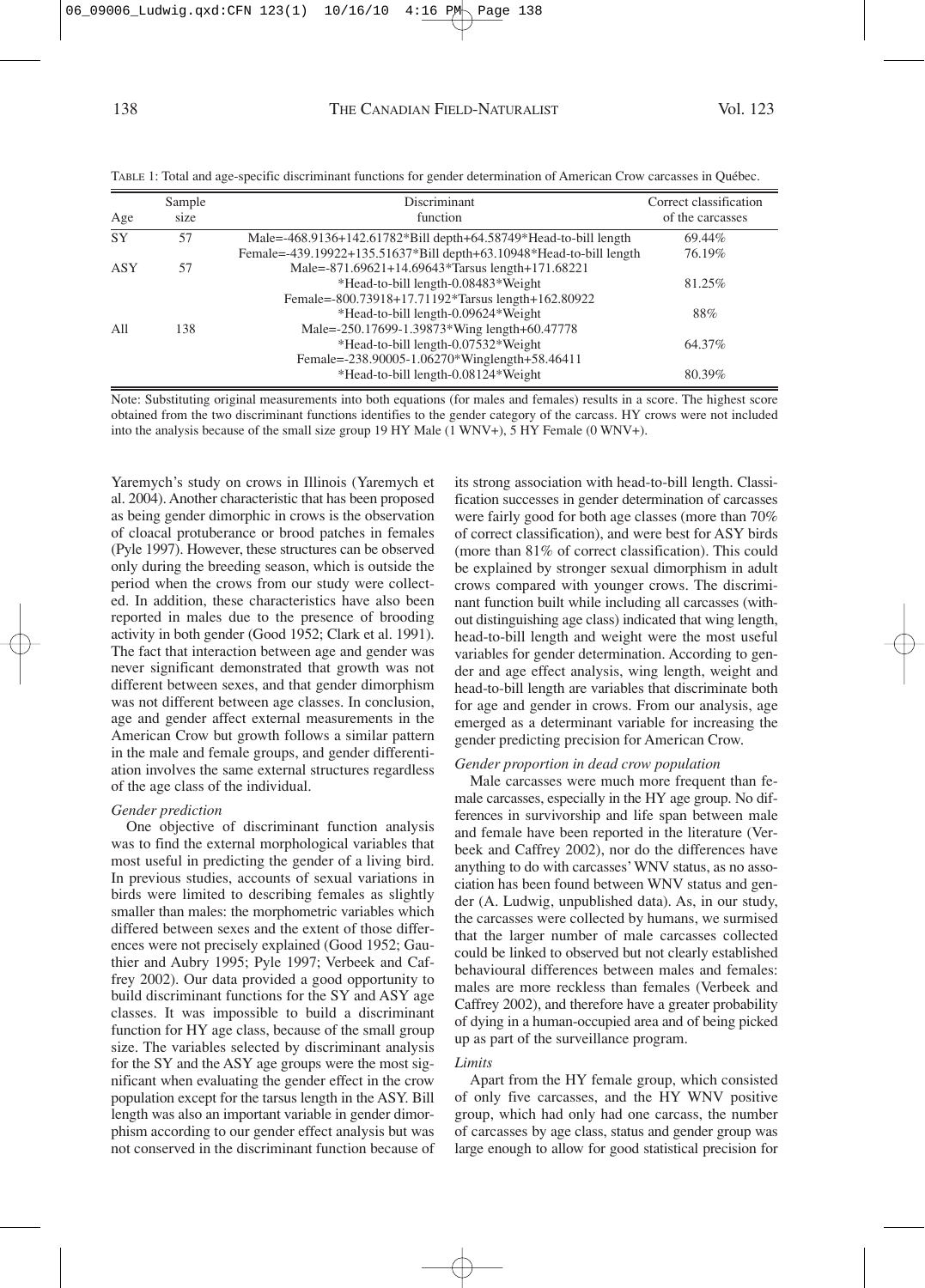| Age       | Sample<br>size | Discriminant<br>function                                            | Correct classification<br>of the carcasses |
|-----------|----------------|---------------------------------------------------------------------|--------------------------------------------|
| <b>SY</b> | 57             | Male=-468.9136+142.61782*Bill depth+64.58749*Head-to-bill length    | 69.44%                                     |
|           |                | Female=-439.19922+135.51637*Bill depth+63.10948*Head-to-bill length | 76.19%                                     |
| ASY       | 57             | Male=-871.69621+14.69643*Tarsus length+171.68221                    |                                            |
|           |                | *Head-to-bill length-0.08483*Weight                                 | 81.25%                                     |
|           |                | Female=-800.73918+17.71192*Tarsus length+162.80922                  |                                            |
|           |                | *Head-to-bill length-0.09624*Weight                                 | 88%                                        |
| All       | 138            | Male=-250.17699-1.39873*Wing length+60.47778                        |                                            |
|           |                | *Head-to-bill length-0.07532*Weight                                 | 64.37%                                     |
|           |                | Female=-238.90005-1.06270*Winglength+58.46411                       |                                            |
|           |                | *Head-to-bill length-0.08124*Weight                                 | 80.39%                                     |

TABLE 1: Total and age-specific discriminant functions for gender determination of American Crow carcasses in Québec.

Note: Substituting original measurements into both equations (for males and females) results in a score. The highest score obtained from the two discriminant functions identifies to the gender category of the carcass. HY crows were not included into the analysis because of the small size group 19 HY Male (1 WNV+), 5 HY Female (0 WNV+).

Yaremych's study on crows in Illinois (Yaremych et al. 2004). Another characteristic that has been proposed as being gender dimorphic in crows is the observation of cloacal protuberance or brood patches in females (Pyle 1997). However, these structures can be observed only during the breeding season, which is outside the period when the crows from our study were collected. In addition, these characteristics have also been reported in males due to the presence of brooding activity in both gender (Good 1952; Clark et al. 1991). The fact that interaction between age and gender was never significant demonstrated that growth was not different between sexes, and that gender dimorphism was not different between age classes. In conclusion, age and gender affect external measurements in the American Crow but growth follows a similar pattern in the male and female groups, and gender differentiation involves the same external structures regardless of the age class of the individual.

#### *Gender prediction*

One objective of discriminant function analysis was to find the external morphological variables that most useful in predicting the gender of a living bird. In previous studies, accounts of sexual variations in birds were limited to describing females as slightly smaller than males: the morphometric variables which differed between sexes and the extent of those differences were not precisely explained (Good 1952; Gauthier and Aubry 1995; Pyle 1997; Verbeek and Caffrey 2002). Our data provided a good opportunity to build discriminant functions for the SY and ASY age classes. It was impossible to build a discriminant function for HY age class, because of the small group size. The variables selected by discriminant analysis for the SY and the ASY age groups were the most significant when evaluating the gender effect in the crow population except for the tarsus length in the ASY. Bill length was also an important variable in gender dimorphism according to our gender effect analysis but was not conserved in the discriminant function because of its strong association with head-to-bill length. Classification successes in gender determination of carcasses were fairly good for both age classes (more than 70% of correct classification), and were best for ASY birds (more than 81% of correct classification). This could be explained by stronger sexual dimorphism in adult crows compared with younger crows. The discriminant function built while including all carcasses (without distinguishing age class) indicated that wing length, head-to-bill length and weight were the most useful variables for gender determination. According to gender and age effect analysis, wing length, weight and head-to-bill length are variables that discriminate both for age and gender in crows. From our analysis, age emerged as a determinant variable for increasing the gender predicting precision for American Crow.

## *Gender proportion in dead crow population*

Male carcasses were much more frequent than female carcasses, especially in the HY age group. No differences in survivorship and life span between male and female have been reported in the literature (Verbeek and Caffrey 2002), nor do the differences have anything to do with carcasses'WNV status, as no association has been found between WNV status and gender (A. Ludwig, unpublished data). As, in our study, the carcasses were collected by humans, we surmised that the larger number of male carcasses collected could be linked to observed but not clearly established behavioural differences between males and females: males are more reckless than females (Verbeek and Caffrey 2002), and therefore have a greater probability of dying in a human-occupied area and of being picked up as part of the surveillance program.

#### *Limits*

Apart from the HY female group, which consisted of only five carcasses, and the HY WNV positive group, which had only had one carcass, the number of carcasses by age class, status and gender group was large enough to allow for good statistical precision for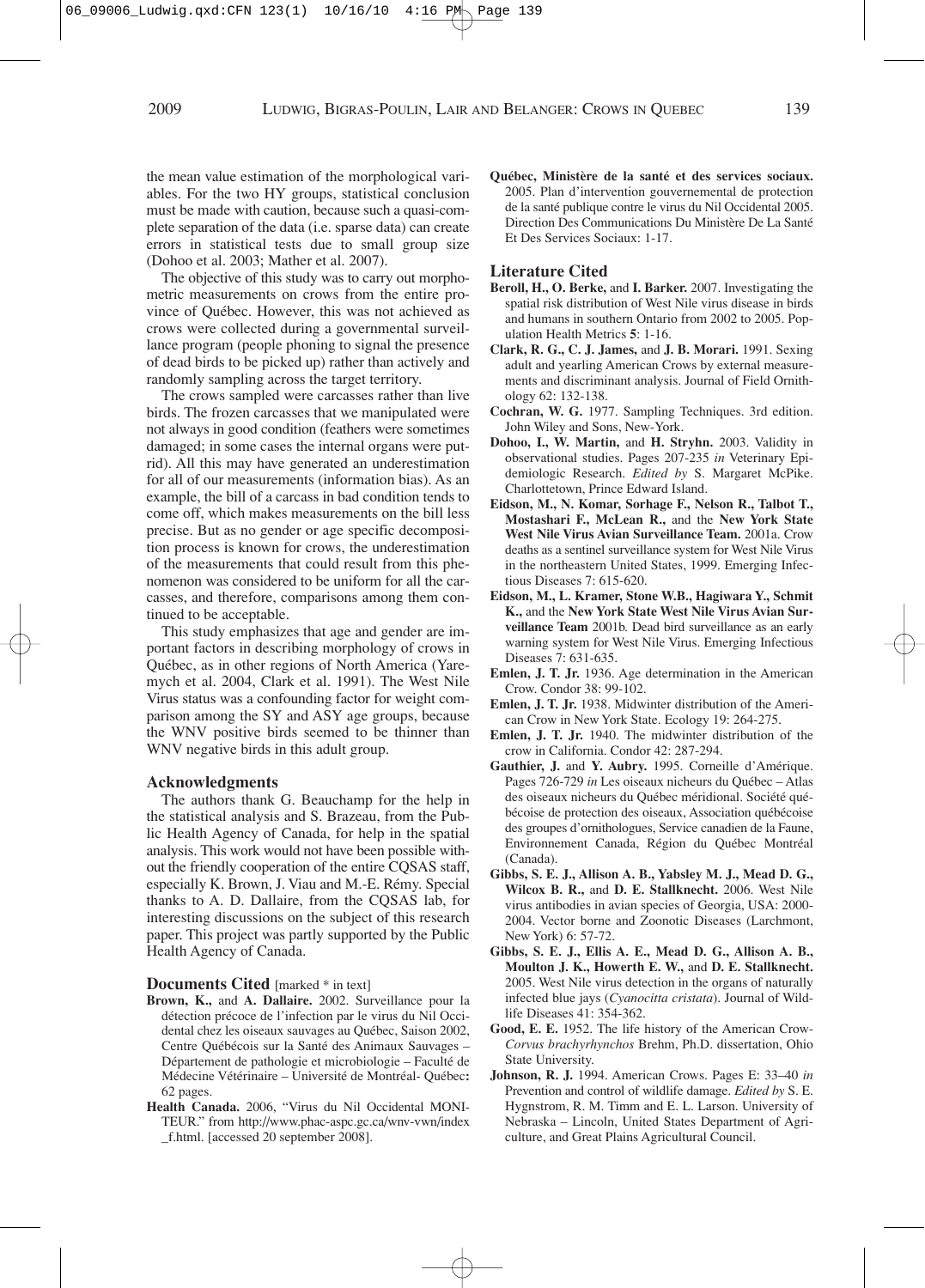the mean value estimation of the morphological variables. For the two HY groups, statistical conclusion must be made with caution, because such a quasi-complete separation of the data (i.e. sparse data) can create errors in statistical tests due to small group size (Dohoo et al. 2003; Mather et al. 2007).

The objective of this study was to carry out morphometric measurements on crows from the entire province of Québec. However, this was not achieved as crows were collected during a governmental surveillance program (people phoning to signal the presence of dead birds to be picked up) rather than actively and randomly sampling across the target territory.

The crows sampled were carcasses rather than live birds. The frozen carcasses that we manipulated were not always in good condition (feathers were sometimes damaged; in some cases the internal organs were putrid). All this may have generated an underestimation for all of our measurements (information bias). As an example, the bill of a carcass in bad condition tends to come off, which makes measurements on the bill less precise. But as no gender or age specific decomposition process is known for crows, the underestimation of the measurements that could result from this phenomenon was considered to be uniform for all the carcasses, and therefore, comparisons among them continued to be acceptable.

This study emphasizes that age and gender are important factors in describing morphology of crows in Québec, as in other regions of North America (Yaremych et al. 2004, Clark et al. 1991). The West Nile Virus status was a confounding factor for weight comparison among the SY and ASY age groups, because the WNV positive birds seemed to be thinner than WNV negative birds in this adult group.

## **Acknowledgments**

The authors thank G. Beauchamp for the help in the statistical analysis and S. Brazeau, from the Public Health Agency of Canada, for help in the spatial analysis. This work would not have been possible without the friendly cooperation of the entire CQSAS staff, especially K. Brown, J. Viau and M.-E. Rémy. Special thanks to A. D. Dallaire, from the CQSAS lab, for interesting discussions on the subject of this research paper. This project was partly supported by the Public Health Agency of Canada.

#### **Documents Cited** [marked \* in text]

- **Brown, K.,** and **A. Dallaire.** 2002. Surveillance pour la détection précoce de l'infection par le virus du Nil Occidental chez les oiseaux sauvages au Québec, Saison 2002, Centre Québécois sur la Santé des Animaux Sauvages – Département de pathologie et microbiologie – Faculté de Médecine Vétérinaire – Université de Montréal- Québec**:** 62 pages.
- **Health Canada.** 2006, "Virus du Nil Occidental MONI-TEUR." from http://www.phac-aspc.gc.ca/wnv-vwn/index \_f.html. [accessed 20 september 2008].

**Québec, Ministère de la santé et des services sociaux.** 2005. Plan d'intervention gouvernemental de protection de la santé publique contre le virus du Nil Occidental 2005. Direction Des Communications Du Ministère De La Santé Et Des Services Sociaux: 1-17.

#### **Literature Cited**

- **Beroll, H., O. Berke,** and **I. Barker.** 2007. Investigating the spatial risk distribution of West Nile virus disease in birds and humans in southern Ontario from 2002 to 2005. Population Health Metrics **5**: 1-16.
- **Clark, R. G., C. J. James,** and **J. B. Morari.** 1991. Sexing adult and yearling American Crows by external measurements and discriminant analysis. Journal of Field Ornithology 62: 132-138.
- **Cochran, W. G.** 1977. Sampling Techniques. 3rd edition. John Wiley and Sons, New-York.
- **Dohoo, I., W. Martin,** and **H. Stryhn.** 2003. Validity in observational studies. Pages 207-235 *in* Veterinary Epidemiologic Research. *Edited by* S. Margaret McPike. Charlottetown, Prince Edward Island.
- **Eidson, M., N. Komar, Sorhage F., Nelson R., Talbot T., Mostashari F., McLean R.,** and the **New York State West Nile Virus Avian Surveillance Team.** 2001a. Crow deaths as a sentinel surveillance system for West Nile Virus in the northeastern United States, 1999. Emerging Infectious Diseases 7: 615-620.
- **Eidson, M., L. Kramer, Stone W.B., Hagiwara Y., Schmit K.,** and the **New York State West Nile Virus Avian Surveillance Team** 2001b. Dead bird surveillance as an early warning system for West Nile Virus. Emerging Infectious Diseases 7: 631-635.
- **Emlen, J. T. Jr.** 1936. Age determination in the American Crow. Condor 38: 99-102.
- **Emlen, J. T. Jr.** 1938. Midwinter distribution of the American Crow in New York State. Ecology 19: 264-275.
- **Emlen, J. T. Jr.** 1940. The midwinter distribution of the crow in California. Condor 42: 287-294.
- **Gauthier, J.** and **Y. Aubry.** 1995. Corneille d'Amérique. Pages 726-729 *in* Les oiseaux nicheurs du Québec – Atlas des oiseaux nicheurs du Québec méridional. Société québécoise de protection des oiseaux, Association québécoise des groupes d'ornithologues, Service canadien de la Faune, Environnement Canada, Région du Québec Montréal (Canada).
- **Gibbs, S. E. J., Allison A. B., Yabsley M. J., Mead D. G., Wilcox B. R.,** and **D. E. Stallknecht.** 2006. West Nile virus antibodies in avian species of Georgia, USA: 2000- 2004. Vector borne and Zoonotic Diseases (Larchmont, New York) 6: 57-72.
- **Gibbs, S. E. J., Ellis A. E., Mead D. G., Allison A. B., Moulton J. K., Howerth E. W.,** and **D. E. Stallknecht.** 2005. West Nile virus detection in the organs of naturally infected blue jays (*Cyanocitta cristata*). Journal of Wildlife Diseases 41: 354-362.
- **Good, E. E.** 1952. The life history of the American Crow-*Corvus brachyrhynchos* Brehm, Ph.D. dissertation, Ohio State University.
- **Johnson, R. J.** 1994. American Crows. Pages E: 33–40 *in* Prevention and control of wildlife damage. *Edited by* S. E. Hygnstrom, R. M. Timm and E. L. Larson. University of Nebraska – Lincoln, United States Department of Agriculture, and Great Plains Agricultural Council.